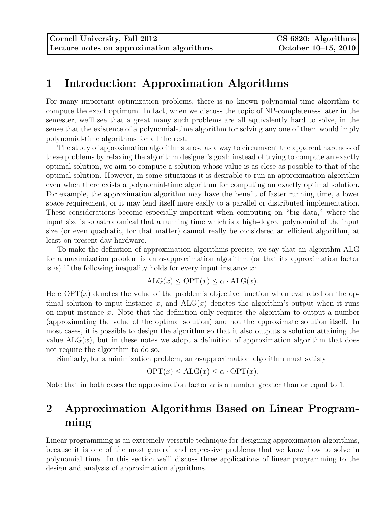# 1 Introduction: Approximation Algorithms

For many important optimization problems, there is no known polynomial-time algorithm to compute the exact optimum. In fact, when we discuss the topic of NP-completeness later in the semester, we'll see that a great many such problems are all equivalently hard to solve, in the sense that the existence of a polynomial-time algorithm for solving any one of them would imply polynomial-time algorithms for all the rest.

The study of approximation algorithms arose as a way to circumvent the apparent hardness of these problems by relaxing the algorithm designer's goal: instead of trying to compute an exactly optimal solution, we aim to compute a solution whose value is as close as possible to that of the optimal solution. However, in some situations it is desirable to run an approximation algorithm even when there exists a polynomial-time algorithm for computing an exactly optimal solution. For example, the approximation algorithm may have the benefit of faster running time, a lower space requirement, or it may lend itself more easily to a parallel or distributed implementation. These considerations become especially important when computing on "big data," where the input size is so astronomical that a running time which is a high-degree polynomial of the input size (or even quadratic, for that matter) cannot really be considered an efficient algorithm, at least on present-day hardware.

To make the definition of approximation algorithms precise, we say that an algorithm ALG for a maximization problem is an  $\alpha$ -approximation algorithm (or that its approximation factor is  $\alpha$ ) if the following inequality holds for every input instance x:

$$
ALG(x) \le \text{OPT}(x) \le \alpha \cdot ALG(x).
$$

Here  $\text{OPT}(x)$  denotes the value of the problem's objective function when evaluated on the optimal solution to input instance x, and  $ALG(x)$  denotes the algorithm's output when it runs on input instance  $x$ . Note that the definition only requires the algorithm to output a number (approximating the value of the optimal solution) and not the approximate solution itself. In most cases, it is possible to design the algorithm so that it also outputs a solution attaining the value  $ALG(x)$ , but in these notes we adopt a definition of approximation algorithm that does not require the algorithm to do so.

Similarly, for a minimization problem, an  $\alpha$ -approximation algorithm must satisfy

$$
OPT(x) \le ALG(x) \le \alpha \cdot OPT(x).
$$

Note that in both cases the approximation factor  $\alpha$  is a number greater than or equal to 1.

# 2 Approximation Algorithms Based on Linear Programming

Linear programming is an extremely versatile technique for designing approximation algorithms, because it is one of the most general and expressive problems that we know how to solve in polynomial time. In this section we'll discuss three applications of linear programming to the design and analysis of approximation algorithms.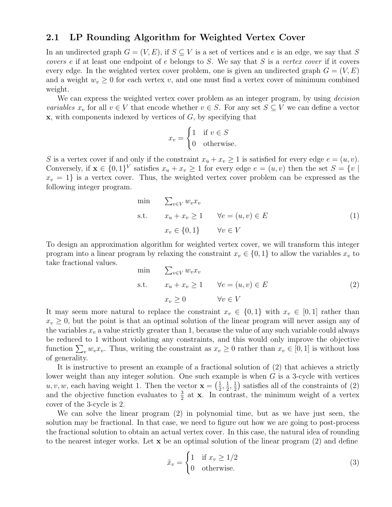## 2.1 LP Rounding Algorithm for Weighted Vertex Cover

In an undirected graph  $G = (V, E)$ , if  $S \subseteq V$  is a set of vertices and e is an edge, we say that S *covers e* if at least one endpoint of e belongs to S. We say that S is a vertex cover if it covers every edge. In the weighted vertex cover problem, one is given an undirected graph  $G = (V, E)$ and a weight  $w_v \geq 0$  for each vertex v, and one must find a vertex cover of minimum combined weight.

We can express the weighted vertex cover problem as an integer program, by using *decision* variables  $x_v$  for all  $v \in V$  that encode whether  $v \in S$ . For any set  $S \subseteq V$  we can define a vector  $x$ , with components indexed by vertices of  $G$ , by specifying that

$$
x_v = \begin{cases} 1 & \text{if } v \in S \\ 0 & \text{otherwise.} \end{cases}
$$

S is a vertex cover if and only if the constraint  $x_u + x_v \ge 1$  is satisfied for every edge  $e = (u, v)$ . Conversely, if  $\mathbf{x} \in \{0,1\}^V$  satisfies  $x_u + x_v \ge 1$  for every edge  $e = (u, v)$  then the set  $S = \{v \mid v\}$  $x_v = 1$  is a vertex cover. Thus, the weighted vertex cover problem can be expressed as the following integer program.

min 
$$
\sum_{v \in V} w_v x_v
$$
  
\ns.t.  $x_u + x_v \ge 1$   $\forall e = (u, v) \in E$   
\n $x_v \in \{0, 1\}$   $\forall v \in V$  (1)

To design an approximation algorithm for weighted vertex cover, we will transform this integer program into a linear program by relaxing the constraint  $x_v \in \{0, 1\}$  to allow the variables  $x_v$  to take fractional values.

$$
\begin{aligned}\n\min \qquad & \sum_{v \in V} w_v x_v \\
\text{s.t.} \qquad & x_u + x_v \ge 1 \qquad \forall e = (u, v) \in E \\
& x_v \ge 0 \qquad \qquad \forall v \in V\n\end{aligned} \tag{2}
$$

It may seem more natural to replace the constraint  $x_v \in \{0,1\}$  with  $x_v \in [0,1]$  rather than  $x_v \geq 0$ , but the point is that an optimal solution of the linear program will never assign any of the variables  $x<sub>v</sub>$  a value strictly greater than 1, because the value of any such variable could always be reduced to 1 without violating any constraints, and this would only improve the objective function  $\sum_{v} w_v x_v$ . Thus, writing the constraint as  $x_v \geq 0$  rather than  $x_v \in [0, 1]$  is without loss of generality.

It is instructive to present an example of a fractional solution of (2) that achieves a strictly lower weight than any integer solution. One such example is when G is a 3-cycle with vertices  $u, v, w$ , each having weight 1. Then the vector  $\mathbf{x} = \left(\frac{1}{2}\right)$  $\frac{1}{2}, \frac{1}{2}$  $\frac{1}{2}, \frac{1}{2}$  $\frac{1}{2}$ ) satisfies all of the constraints of (2) and the objective function evaluates to  $\frac{3}{2}$  at **x**. In contrast, the minimum weight of a vertex cover of the 3-cycle is 2.

We can solve the linear program (2) in polynomial time, but as we have just seen, the solution may be fractional. In that case, we need to figure out how we are going to post-process the fractional solution to obtain an actual vertex cover. In this case, the natural idea of rounding to the nearest integer works. Let  $x$  be an optimal solution of the linear program (2) and define

$$
\tilde{x}_v = \begin{cases} 1 & \text{if } x_v \ge 1/2 \\ 0 & \text{otherwise.} \end{cases}
$$
 (3)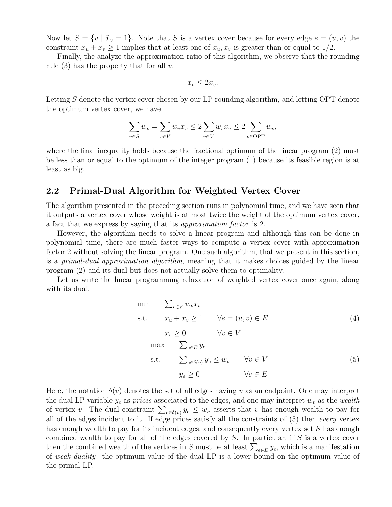Now let  $S = \{v \mid \tilde{x}_v = 1\}$ . Note that S is a vertex cover because for every edge  $e = (u, v)$  the constraint  $x_u + x_v \ge 1$  implies that at least one of  $x_u, x_v$  is greater than or equal to 1/2.

Finally, the analyze the approximation ratio of this algorithm, we observe that the rounding rule  $(3)$  has the property that for all v,

$$
\tilde{x}_v \le 2x_v.
$$

Letting S denote the vertex cover chosen by our LP rounding algorithm, and letting OPT denote the optimum vertex cover, we have

$$
\sum_{v \in S} w_v = \sum_{v \in V} w_v \tilde{x}_v \le 2 \sum_{v \in V} w_v x_v \le 2 \sum_{v \in \text{OPT}} w_v,
$$

where the final inequality holds because the fractional optimum of the linear program (2) must be less than or equal to the optimum of the integer program (1) because its feasible region is at least as big.

## 2.2 Primal-Dual Algorithm for Weighted Vertex Cover

The algorithm presented in the preceding section runs in polynomial time, and we have seen that it outputs a vertex cover whose weight is at most twice the weight of the optimum vertex cover, a fact that we express by saying that its approximation factor is 2.

However, the algorithm needs to solve a linear program and although this can be done in polynomial time, there are much faster ways to compute a vertex cover with approximation factor 2 without solving the linear program. One such algorithm, that we present in this section, is a primal-dual approximation algorithm, meaning that it makes choices guided by the linear program (2) and its dual but does not actually solve them to optimality.

Let us write the linear programming relaxation of weighted vertex cover once again, along with its dual.

$$
\begin{array}{ll}\n\min & \sum_{v \in V} w_v x_v \\
\text{s.t.} & x_u + x_v \ge 1 \quad \forall e = (u, v) \in E \\
& x_v \ge 0 \quad \forall v \in V \\
\max & \sum_{e \in E} y_e \\
\text{s.t.} & \sum_{e \in \delta(v)} y_e \le w_v \quad \forall v \in V \\
& y_e \ge 0 \quad \forall e \in E\n\end{array}\n\tag{4}
$$

Here, the notation  $\delta(v)$  denotes the set of all edges having v as an endpoint. One may interpret the dual LP variable  $y_e$  as prices associated to the edges, and one may interpret  $w_v$  as the wealth of vertex v. The dual constraint  $\sum_{e \in \delta(v)} y_e \leq w_v$  asserts that v has enough wealth to pay for all of the edges incident to it. If edge prices satisfy all the constraints of (5) then every vertex has enough wealth to pay for its incident edges, and consequently every vertex set S has enough combined wealth to pay for all of the edges covered by  $S$ . In particular, if  $S$  is a vertex cover then the combined wealth of the vertices in S must be at least  $\sum_{e \in E} y_e$ , which is a manifestation of weak duality: the optimum value of the dual LP is a lower bound on the optimum value of the primal LP.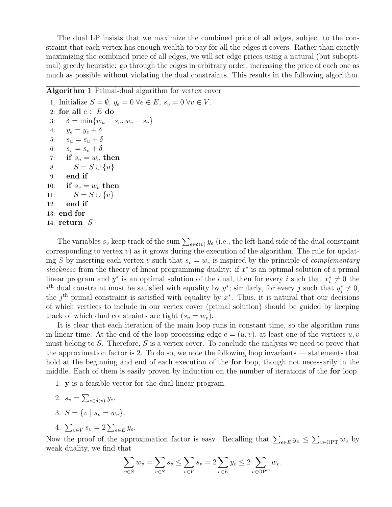The dual LP insists that we maximize the combined price of all edges, subject to the constraint that each vertex has enough wealth to pay for all the edges it covers. Rather than exactly maximizing the combined price of all edges, we will set edge prices using a natural (but suboptimal) greedy heuristic: go through the edges in arbitrary order, increasing the price of each one as much as possible without violating the dual constraints. This results in the following algorithm.

| <b>Algorithm 1</b> Primal-dual algorithm for vertex cover |  |  |
|-----------------------------------------------------------|--|--|
|-----------------------------------------------------------|--|--|

1: Initialize  $S = \emptyset$ ,  $y_e = 0 \ \forall e \in E$ ,  $s_v = 0 \ \forall v \in V$ . 2: for all  $e \in E$  do 3:  $\delta = \min\{w_u - s_u, w_v - s_v\}$ 4:  $y_e = y_e + \delta$ 5:  $s_u = s_u + \delta$ 6:  $s_v = s_v + \delta$ 7: if  $s_u = w_u$  then 8:  $S = S \cup \{u\}$ 9: end if 10: if  $s_v = w_v$  then 11:  $S = S \cup \{v\}$ 12: end if 13: end for 14: return S

The variables  $s_v$  keep track of the sum  $\sum_{e \in \delta(v)} y_e$  (i.e., the left-hand side of the dual constraint corresponding to vertex  $v$ ) as it grows during the execution of the algorithm. The rule for updating S by inserting each vertex v such that  $s_v = w_v$  is inspired by the principle of *complementary* slackness from the theory of linear programming duality: if  $x^*$  is an optimal solution of a primal linear program and  $y^*$  is an optimal solution of the dual, then for every i such that  $x_i^* \neq 0$  the  $i<sup>th</sup>$  dual constraint must be satisfied with equality by  $y^*$ ; similarly, for every j such that  $y_j^* \neq 0$ , the j<sup>th</sup> primal constraint is satisfied with equality by  $x^*$ . Thus, it is natural that our decisions of which vertices to include in our vertex cover (primal solution) should be guided by keeping track of which dual constraints are tight  $(s_v = w_v)$ .

It is clear that each iteration of the main loop runs in constant time, so the algorithm runs in linear time. At the end of the loop processing edge  $e = (u, v)$ , at least one of the vertices u, v must belong to S. Therefore, S is a vertex cover. To conclude the analysis we need to prove that the approximation factor is 2. To do so, we note the following loop invariants — statements that hold at the beginning and end of each execution of the **for** loop, though not necessarily in the middle. Each of them is easily proven by induction on the number of iterations of the **for** loop.

1. y is a feasible vector for the dual linear program.

$$
2. \, s_v = \sum_{e \in \delta(v)} y_e.
$$

3. 
$$
S = \{v \mid s_v = w_v\}.
$$

4. 
$$
\sum_{v \in V} s_v = 2 \sum_{e \in E} y_e.
$$

Now the proof of the approximation factor is easy. Recalling that  $\sum_{e \in E} y_e \leq \sum_{v \in \text{OPT}} w_v$  by weak duality, we find that

$$
\sum_{v \in S} w_v = \sum_{v \in S} s_v \le \sum_{v \in V} s_v = 2 \sum_{e \in E} y_e \le 2 \sum_{v \in \text{OPT}} w_v.
$$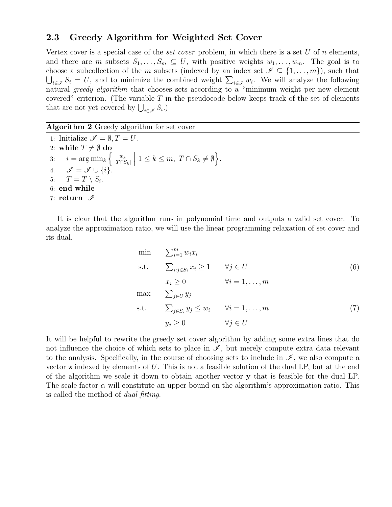## 2.3 Greedy Algorithm for Weighted Set Cover

Vertex cover is a special case of the set cover problem, in which there is a set  $U$  of  $n$  elements, and there are m subsets  $S_1, \ldots, S_m \subseteq U$ , with positive weights  $w_1, \ldots, w_m$ . The goal is to choose a subcollection of the m subsets (indexed by an index set  $\mathscr{I} \subseteq \{1, \ldots, m\}$ ), such that  $\bigcup_{i\in\mathscr{I}}S_i = U$ , and to minimize the combined weight  $\sum_{i\in\mathscr{I}}w_i$ . We will analyze the following natural greedy algorithm that chooses sets according to a "minimum weight per new element covered" criterion. (The variable  $T$  in the pseudocode below keeps track of the set of elements that are not yet covered by  $\bigcup_{i\in\mathscr{I}}S_i$ .

Algorithm 2 Greedy algorithm for set cover

1: Initialize  $\mathscr{I} = \emptyset$ ,  $T = U$ . 2: while  $T \neq \emptyset$  do 3:  $i = \arg \min_k \left\{ \frac{w_k}{|T \cap S|} \right\}$  $|T \cap S_k|$   $1 \leq k \leq m, \ T \cap S_k \neq \emptyset$ . 4:  $\mathscr{I} = \mathscr{I} \cup \{i\}.$ 5:  $T = T \setminus S_i$ . 6: end while 7: return  $\mathscr I$ 

It is clear that the algorithm runs in polynomial time and outputs a valid set cover. To analyze the approximation ratio, we will use the linear programming relaxation of set cover and its dual.

min 
$$
\sum_{i=1}^{m} w_i x_i
$$
  
\ns.t.  $\sum_{i:j \in S_i} x_i \ge 1$   $\forall j \in U$   
\n $x_i \ge 0$   $\forall i = 1,..., m$   
\nmax  $\sum_{j \in U} y_j$   
\ns.t.  $\sum_{j \in S_i} y_j \le w_i$   $\forall i = 1,..., m$   
\n $y_j \ge 0$   $\forall j \in U$  (7)

It will be helpful to rewrite the greedy set cover algorithm by adding some extra lines that do not influence the choice of which sets to place in  $\mathscr{I}$ , but merely compute extra data relevant to the analysis. Specifically, in the course of choosing sets to include in  $\mathscr{I}$ , we also compute a vector  $z$  indexed by elements of U. This is not a feasible solution of the dual LP, but at the end of the algorithm we scale it down to obtain another vector y that is feasible for the dual LP. The scale factor  $\alpha$  will constitute an upper bound on the algorithm's approximation ratio. This is called the method of dual fitting.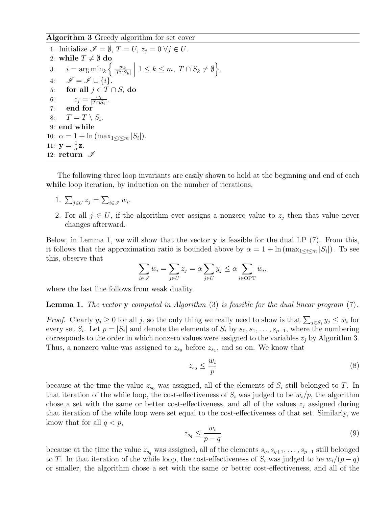Algorithm 3 Greedy algorithm for set cover

1: Initialize 
$$
\mathscr{I} = \emptyset
$$
,  $T = U$ ,  $z_j = 0 \ \forall j \in U$ .  
\n2: while  $T \neq \emptyset$  do  
\n3:  $i = \arg \min_k \left\{ \frac{w_k}{|T \cap S_k|} \middle| 1 \leq k \leq m, T \cap S_k \neq \emptyset \right\}$ .  
\n4:  $\mathscr{I} = \mathscr{I} \cup \{i\}$ .  
\n5: for all  $j \in T \cap S_i$  do  
\n6:  $z_j = \frac{w_i}{|T \cap S_i|}$ .  
\n7: end for  
\n8:  $T = T \setminus S_i$ .  
\n9: end while  
\n10:  $\alpha = 1 + \ln (\max_{1 \leq i \leq m} |S_i|)$ .  
\n11:  $\mathbf{y} = \frac{1}{\alpha} \mathbf{z}$ .  
\n12: return  $\mathscr{I}$ 

The following three loop invariants are easily shown to hold at the beginning and end of each while loop iteration, by induction on the number of iterations.

- 1.  $\sum_{j\in U} z_j = \sum_{i\in \mathscr{I}} w_i$ .
- 2. For all  $j \in U$ , if the algorithm ever assigns a nonzero value to  $z_j$  then that value never changes afterward.

Below, in Lemma 1, we will show that the vector  $\bf{y}$  is feasible for the dual LP (7). From this, it follows that the approximation ratio is bounded above by  $\alpha = 1 + \ln(\max_{1 \le i \le m} |S_i|)$ . To see this, observe that

$$
\sum_{i \in \mathcal{I}} w_i = \sum_{j \in U} z_j = \alpha \sum_{j \in U} y_j \le \alpha \sum_{i \in \text{OPT}} w_i,
$$

where the last line follows from weak duality.

**Lemma 1.** The vector **y** computed in Algorithm  $(3)$  is feasible for the dual linear program  $(7)$ .

*Proof.* Clearly  $y_j \ge 0$  for all j, so the only thing we really need to show is that  $\sum_{j \in S_i} y_j \le w_i$  for every set  $S_i$ . Let  $p = |S_i|$  and denote the elements of  $S_i$  by  $s_0, s_1, \ldots, s_{p-1}$ , where the numbering corresponds to the order in which nonzero values were assigned to the variables  $z_i$  by Algorithm 3. Thus, a nonzero value was assigned to  $z_{s_0}$  before  $z_{s_1}$ , and so on. We know that

$$
z_{s_0} \le \frac{w_i}{p} \tag{8}
$$

because at the time the value  $z_{s_0}$  was assigned, all of the elements of  $S_i$  still belonged to T. In that iteration of the while loop, the cost-effectiveness of  $S_i$  was judged to be  $w_i/p$ , the algorithm chose a set with the same or better cost-effectiveness, and all of the values  $z_j$  assigned during that iteration of the while loop were set equal to the cost-effectiveness of that set. Similarly, we know that for all  $q < p$ ,

$$
z_{s_q} \le \frac{w_i}{p - q} \tag{9}
$$

because at the time the value  $z_{s_q}$  was assigned, all of the elements  $s_q, s_{q+1}, \ldots, s_{p-1}$  still belonged to T. In that iteration of the while loop, the cost-effectiveness of  $S_i$  was judged to be  $w_i/(p-q)$ or smaller, the algorithm chose a set with the same or better cost-effectiveness, and all of the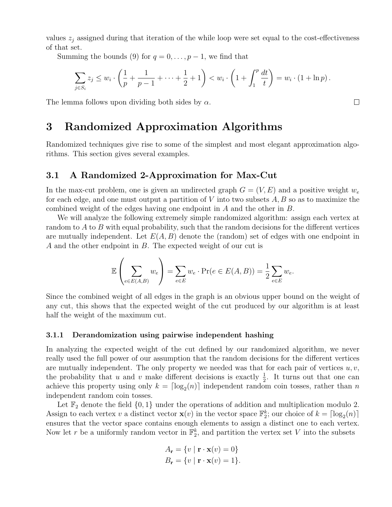values  $z_j$  assigned during that iteration of the while loop were set equal to the cost-effectiveness of that set.

Summing the bounds (9) for  $q = 0, \ldots, p-1$ , we find that

$$
\sum_{j \in S_i} z_j \le w_i \cdot \left( \frac{1}{p} + \frac{1}{p-1} + \dots + \frac{1}{2} + 1 \right) < w_i \cdot \left( 1 + \int_1^p \frac{dt}{t} \right) = w_i \cdot (1 + \ln p).
$$

The lemma follows upon dividing both sides by  $\alpha$ .

## 3 Randomized Approximation Algorithms

Randomized techniques give rise to some of the simplest and most elegant approximation algorithms. This section gives several examples.

## 3.1 A Randomized 2-Approximation for Max-Cut

In the max-cut problem, one is given an undirected graph  $G = (V, E)$  and a positive weight  $w_e$ for each edge, and one must output a partition of  $V$  into two subsets  $A, B$  so as to maximize the combined weight of the edges having one endpoint in A and the other in B.

We will analyze the following extremely simple randomized algorithm: assign each vertex at random to  $A$  to  $B$  with equal probability, such that the random decisions for the different vertices are mutually independent. Let  $E(A, B)$  denote the (random) set of edges with one endpoint in A and the other endpoint in B. The expected weight of our cut is

$$
\mathbb{E}\left(\sum_{e \in E(A,B)} w_e\right) = \sum_{e \in E} w_e \cdot \Pr(e \in E(A,B)) = \frac{1}{2} \sum_{e \in E} w_e.
$$

Since the combined weight of all edges in the graph is an obvious upper bound on the weight of any cut, this shows that the expected weight of the cut produced by our algorithm is at least half the weight of the maximum cut.

#### 3.1.1 Derandomization using pairwise independent hashing

In analyzing the expected weight of the cut defined by our randomized algorithm, we never really used the full power of our assumption that the random decisions for the different vertices are mutually independent. The only property we needed was that for each pair of vertices  $u, v$ , the probability that u and v make different decisions is exactly  $\frac{1}{2}$ . It turns out that one can achieve this property using only  $k = \lceil \log_2(n) \rceil$  independent random coin tosses, rather than n independent random coin tosses.

Let  $\mathbb{F}_2$  denote the field  $\{0,1\}$  under the operations of addition and multiplication modulo 2. Assign to each vertex v a distinct vector  $\mathbf{x}(v)$  in the vector space  $\mathbb{F}_2^k$ ; our choice of  $k = \lceil \log_2(n) \rceil$ ensures that the vector space contains enough elements to assign a distinct one to each vertex. Now let r be a uniformly random vector in  $\mathbb{F}_2^k$ , and partition the vertex set V into the subsets

$$
A_{\mathbf{r}} = \{v \mid \mathbf{r} \cdot \mathbf{x}(v) = 0\}
$$
  

$$
B_{\mathbf{r}} = \{v \mid \mathbf{r} \cdot \mathbf{x}(v) = 1\}.
$$

 $\Box$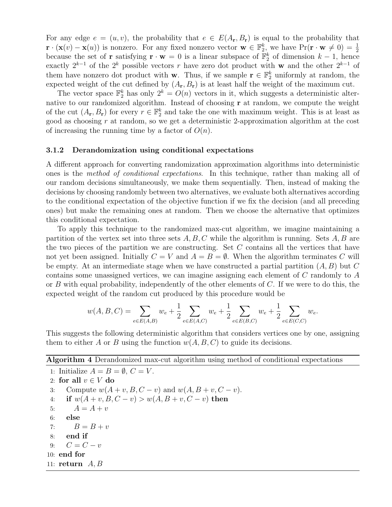For any edge  $e = (u, v)$ , the probability that  $e \in E(A_{r}, B_{r})$  is equal to the probability that  $\mathbf{r} \cdot (\mathbf{x}(v) - \mathbf{x}(u))$  is nonzero. For any fixed nonzero vector  $\mathbf{w} \in \mathbb{F}_2^k$ , we have  $\Pr(\mathbf{r} \cdot \mathbf{w} \neq 0) = \frac{1}{2}$ because the set of **r** satisfying  $\mathbf{r} \cdot \mathbf{w} = 0$  is a linear subspace of  $\mathbb{F}_2^k$  of dimension  $k-1$ , hence exactly  $2^{k-1}$  of the  $2^k$  possible vectors r have zero dot product with w and the other  $2^{k-1}$  of them have nonzero dot product with **w**. Thus, if we sample  $\mathbf{r} \in \mathbb{F}_2^k$  uniformly at random, the expected weight of the cut defined by  $(A_{\mathbf{r}}, B_{\mathbf{r}})$  is at least half the weight of the maximum cut.

The vector space  $\mathbb{F}_2^k$  has only  $2^k = O(n)$  vectors in it, which suggests a deterministic alternative to our randomized algorithm. Instead of choosing r at random, we compute the weight of the cut  $(A_{\mathbf{r}}, B_{\mathbf{r}})$  for every  $r \in \mathbb{F}_2^k$  and take the one with maximum weight. This is at least as good as choosing r at random, so we get a deterministic 2-approximation algorithm at the cost of increasing the running time by a factor of  $O(n)$ .

#### 3.1.2 Derandomization using conditional expectations

A different approach for converting randomization approximation algorithms into deterministic ones is the method of conditional expectations. In this technique, rather than making all of our random decisions simultaneously, we make them sequentially. Then, instead of making the decisions by choosing randomly between two alternatives, we evaluate both alternatives according to the conditional expectation of the objective function if we fix the decision (and all preceding ones) but make the remaining ones at random. Then we choose the alternative that optimizes this conditional expectation.

To apply this technique to the randomized max-cut algorithm, we imagine maintaining a partition of the vertex set into three sets  $A, B, C$  while the algorithm is running. Sets  $A, B$  are the two pieces of the partition we are constructing. Set  $C$  contains all the vertices that have not yet been assigned. Initially  $C = V$  and  $A = B = \emptyset$ . When the algorithm terminates C will be empty. At an intermediate stage when we have constructed a partial partition  $(A, B)$  but C contains some unassigned vertices, we can imagine assigning each element of C randomly to A or  $B$  with equal probability, independently of the other elements of  $C$ . If we were to do this, the expected weight of the random cut produced by this procedure would be

$$
w(A, B, C) = \sum_{e \in E(A, B)} w_e + \frac{1}{2} \sum_{e \in E(A, C)} w_e + \frac{1}{2} \sum_{e \in E(B, C)} w_e + \frac{1}{2} \sum_{e \in E(C, C)} w_e.
$$

This suggests the following deterministic algorithm that considers vertices one by one, assigning them to either A or B using the function  $w(A, B, C)$  to guide its decisions.

Algorithm 4 Derandomized max-cut algorithm using method of conditional expectations

1: Initialize  $A = B = \emptyset$ ,  $C = V$ . 2: for all  $v \in V$  do 3: Compute  $w(A + v, B, C - v)$  and  $w(A, B + v, C - v)$ . 4: if  $w(A + v, B, C - v) > w(A, B + v, C - v)$  then 5:  $A = A + v$ 6: else 7:  $B = B + v$ 8: end if 9:  $C = C - v$ 10: end for 11: return  $A, B$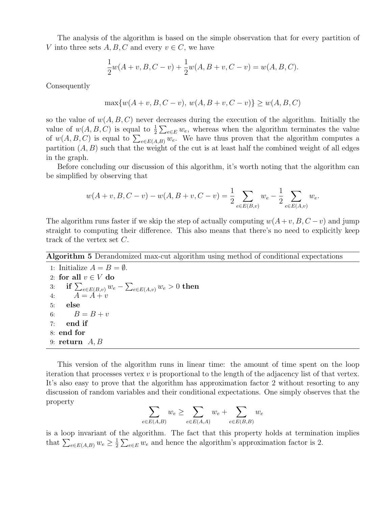The analysis of the algorithm is based on the simple observation that for every partition of V into three sets  $A, B, C$  and every  $v \in C$ , we have

$$
\frac{1}{2}w(A+v,B,C-v) + \frac{1}{2}w(A,B+v,C-v) = w(A,B,C).
$$

Consequently

$$
\max\{w(A + v, B, C - v), w(A, B + v, C - v)\} \ge w(A, B, C)
$$

so the value of  $w(A, B, C)$  never decreases during the execution of the algorithm. Initially the value of  $w(A, B, C)$  is equal to  $\frac{1}{2} \sum_{e \in E} w_e$ , whereas when the algorithm terminates the value of  $w(A, B, C)$  is equal to  $\sum_{e \in E(A,B)} w_e$ . We have thus proven that the algorithm computes a partition  $(A, B)$  such that the weight of the cut is at least half the combined weight of all edges in the graph.

Before concluding our discussion of this algorithm, it's worth noting that the algorithm can be simplified by observing that

$$
w(A + v, B, C - v) - w(A, B + v, C - v) = \frac{1}{2} \sum_{e \in E(B, v)} w_e - \frac{1}{2} \sum_{e \in E(A, v)} w_e.
$$

The algorithm runs faster if we skip the step of actually computing  $w(A+v, B, C-v)$  and jump straight to computing their difference. This also means that there's no need to explicitly keep track of the vertex set C.

Algorithm 5 Derandomized max-cut algorithm using method of conditional expectations

1: Initialize  $A = B = \emptyset$ . 2: for all  $v \in V$  do  $\quad \text{if} \, \sum_{e \in E(B,v)} w_e - \sum_{e \in E(A,v)} w_e > 0 \text{ then}$ 4:  $A = \overline{A} + v$ 5: else 6:  $B = B + v$ 7: end if 8: end for 9: return  $A, B$ 

This version of the algorithm runs in linear time: the amount of time spent on the loop iteration that processes vertex  $v$  is proportional to the length of the adjacency list of that vertex. It's also easy to prove that the algorithm has approximation factor 2 without resorting to any discussion of random variables and their conditional expectations. One simply observes that the property

$$
\sum_{e \in E(A,B)} w_e \ge \sum_{e \in E(A,A)} w_e + \sum_{e \in E(B,B)} w_e
$$

is a loop invariant of the algorithm. The fact that this property holds at termination implies that  $\sum_{e \in E(A,B)} w_e \geq \frac{1}{2}$  $\frac{1}{2}\sum_{e\in E}w_e$  and hence the algorithm's approximation factor is 2.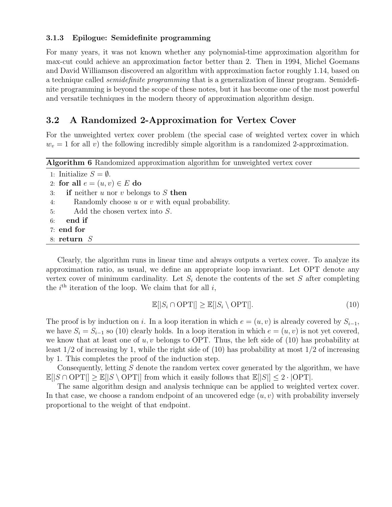### 3.1.3 Epilogue: Semidefinite programming

For many years, it was not known whether any polynomial-time approximation algorithm for max-cut could achieve an approximation factor better than 2. Then in 1994, Michel Goemans and David Williamson discovered an algorithm with approximation factor roughly 1.14, based on a technique called semidefinite programming that is a generalization of linear program. Semidefinite programming is beyond the scope of these notes, but it has become one of the most powerful and versatile techniques in the modern theory of approximation algorithm design.

## 3.2 A Randomized 2-Approximation for Vertex Cover

For the unweighted vertex cover problem (the special case of weighted vertex cover in which  $w<sub>v</sub> = 1$  for all v) the following incredibly simple algorithm is a randomized 2-approximation.

Algorithm 6 Randomized approximation algorithm for unweighted vertex cover

1: Initialize  $S = \emptyset$ . 2: for all  $e = (u, v) \in E$  do 3: if neither u nor v belongs to S then 4: Randomly choose u or v with equal probability. 5: Add the chosen vertex into S. 6: end if 7: end for 8: return S

Clearly, the algorithm runs in linear time and always outputs a vertex cover. To analyze its approximation ratio, as usual, we define an appropriate loop invariant. Let OPT denote any vertex cover of minimum cardinality. Let  $S_i$  denote the contents of the set S after completing the  $i<sup>th</sup>$  iteration of the loop. We claim that for all  $i$ ,

$$
\mathbb{E}[|S_i \cap \text{OPT}|] \ge \mathbb{E}[|S_i \setminus \text{OPT}|].\tag{10}
$$

The proof is by induction on i. In a loop iteration in which  $e = (u, v)$  is already covered by  $S_{i-1}$ , we have  $S_i = S_{i-1}$  so (10) clearly holds. In a loop iteration in which  $e = (u, v)$  is not yet covered, we know that at least one of  $u, v$  belongs to OPT. Thus, the left side of (10) has probability at least  $1/2$  of increasing by 1, while the right side of (10) has probability at most  $1/2$  of increasing by 1. This completes the proof of the induction step.

Consequently, letting  $S$  denote the random vertex cover generated by the algorithm, we have  $\mathbb{E}[|S \cap \mathrm{OPT}|] > \mathbb{E}[|S \setminus \mathrm{OPT}|]$  from which it easily follows that  $\mathbb{E}[|S|] \leq 2 \cdot |\mathrm{OPT}|$ .

The same algorithm design and analysis technique can be applied to weighted vertex cover. In that case, we choose a random endpoint of an uncovered edge  $(u, v)$  with probability inversely proportional to the weight of that endpoint.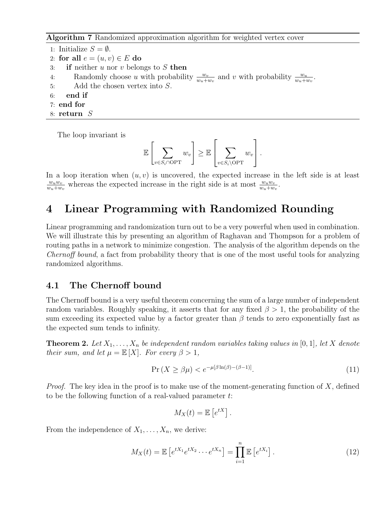Algorithm 7 Randomized approximation algorithm for weighted vertex cover

1: Initialize  $S = \emptyset$ . 2: for all  $e = (u, v) \in E$  do 3: if neither u nor v belongs to S then 4: Randomly choose u with probability  $\frac{w_v}{w_u + w_v}$  and v with probability  $\frac{w_u}{w_u + w_v}$ . 5: Add the chosen vertex into S. 6: end if 7: end for

8: return S

The loop invariant is

$$
\mathbb{E}\left[\sum_{v\in S_i\cap \text{OPT}} w_v\right] \geq \mathbb{E}\left[\sum_{v\in S_i\setminus \text{OPT}} w_v\right].
$$

In a loop iteration when  $(u, v)$  is uncovered, the expected increase in the left side is at least  $w_u w_v$  $\frac{w_u w_v}{w_u + w_v}$  whereas the expected increase in the right side is at most  $\frac{w_u w_v}{w_u + w_v}$ .

# 4 Linear Programming with Randomized Rounding

Linear programming and randomization turn out to be a very powerful when used in combination. We will illustrate this by presenting an algorithm of Raghavan and Thompson for a problem of routing paths in a network to minimize congestion. The analysis of the algorithm depends on the Chernoff bound, a fact from probability theory that is one of the most useful tools for analyzing randomized algorithms.

## 4.1 The Chernoff bound

The Chernoff bound is a very useful theorem concerning the sum of a large number of independent random variables. Roughly speaking, it asserts that for any fixed  $\beta > 1$ , the probability of the sum exceeding its expected value by a factor greater than  $\beta$  tends to zero exponentially fast as the expected sum tends to infinity.

**Theorem 2.** Let  $X_1, \ldots, X_n$  be independent random variables taking values in [0, 1], let X denote their sum, and let  $\mu = \mathbb{E}[X]$ . For every  $\beta > 1$ ,

$$
\Pr\left(X \ge \beta \mu\right) < e^{-\mu[\beta \ln(\beta) - (\beta - 1)]}.\tag{11}
$$

*Proof.* The key idea in the proof is to make use of the moment-generating function of  $X$ , defined to be the following function of a real-valued parameter t:

$$
M_X(t) = \mathbb{E}\left[e^{tX}\right].
$$

From the independence of  $X_1, \ldots, X_n$ , we derive:

$$
M_X(t) = \mathbb{E}\left[e^{tX_1}e^{tX_2}\cdots e^{tX_n}\right] = \prod_{i=1}^n \mathbb{E}\left[e^{tX_i}\right].\tag{12}
$$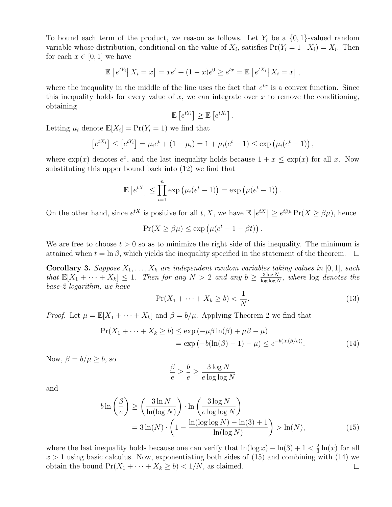To bound each term of the product, we reason as follows. Let  $Y_i$  be a  $\{0,1\}$ -valued random variable whose distribution, conditional on the value of  $X_i$ , satisfies  $Pr(Y_i = 1 | X_i) = X_i$ . Then for each  $x \in [0, 1]$  we have

$$
\mathbb{E}\left[e^{tY_i} \,|\, X_i = x\right] = xe^t + (1-x)e^0 \ge e^{tx} = \mathbb{E}\left[e^{tX_i} \,|\, X_i = x\right],
$$

where the inequality in the middle of the line uses the fact that  $e^{tx}$  is a convex function. Since this inequality holds for every value of  $x$ , we can integrate over  $x$  to remove the conditioning, obtaining

$$
\mathbb{E}\left[e^{tY_i}\right] \geq \mathbb{E}\left[e^{tX_i}\right].
$$

Letting  $\mu_i$  denote  $\mathbb{E}[X_i] = \Pr(Y_i = 1)$  we find that

$$
[e^{tX_i}] \le [e^{tY_i}] = \mu_i e^t + (1 - \mu_i) = 1 + \mu_i (e^t - 1) \le \exp \left(\mu_i (e^t - 1)\right),
$$

where  $\exp(x)$  denotes  $e^x$ , and the last inequality holds because  $1 + x \leq \exp(x)$  for all x. Now substituting this upper bound back into (12) we find that

$$
\mathbb{E}\left[e^{tX}\right] \leq \prod_{i=1}^n \exp\left(\mu_i(e^t-1)\right) = \exp\left(\mu(e^t-1)\right).
$$

On the other hand, since  $e^{tX}$  is positive for all  $t, X$ , we have  $\mathbb{E}\left[e^{tX}\right] \geq e^{t\beta\mu} \Pr(X \geq \beta\mu)$ , hence

 $\Pr(X \ge \beta \mu) \le \exp\left(\mu(e^t - 1 - \beta t)\right).$ 

We are free to choose  $t > 0$  so as to minimize the right side of this inequality. The minimum is attained when  $t = \ln \beta$ , which yields the inequality specified in the statement of the theorem.  $\Box$ 

**Corollary 3.** Suppose  $X_1, \ldots, X_k$  are independent random variables taking values in [0, 1], such that  $\mathbb{E}[X_1 + \cdots + X_k] \leq 1$ . Then for any  $N > 2$  and any  $b \geq \frac{3 \log N}{\log \log N}$  $\frac{3 \log N}{\log \log N}$ , where  $\log$  denotes the base-2 logarithm, we have

$$
\Pr(X_1 + \dots + X_k \ge b) < \frac{1}{N}.\tag{13}
$$

*Proof.* Let  $\mu = \mathbb{E}[X_1 + \cdots + X_k]$  and  $\beta = b/\mu$ . Applying Theorem 2 we find that

$$
\Pr(X_1 + \dots + X_k \ge b) \le \exp(-\mu\beta \ln(\beta) + \mu\beta - \mu)
$$
  
=  $\exp(-b(\ln(\beta) - 1) - \mu) \le e^{-b(\ln(\beta/e))}.$  (14)

Now,  $\beta = b/\mu \geq b$ , so

$$
\frac{\beta}{e} \ge \frac{b}{e} \ge \frac{3\log N}{e\log\log N}
$$

and

$$
b \ln\left(\frac{\beta}{e}\right) \ge \left(\frac{3\ln N}{\ln(\log N)}\right) \cdot \ln\left(\frac{3\log N}{e\log\log N}\right)
$$
  
=  $3\ln(N) \cdot \left(1 - \frac{\ln(\log\log N) - \ln(3) + 1}{\ln(\log N)}\right) > \ln(N),$  (15)

where the last inequality holds because one can verify that  $\ln(\log x) - \ln(3) + 1 < \frac{2}{3}$  $\frac{2}{3}\ln(x)$  for all  $x > 1$  using basic calculus. Now, exponentiating both sides of (15) and combining with (14) we obtain the bound  $Pr(X_1 + \cdots + X_k \ge b) < 1/N$ , as claimed.  $\Box$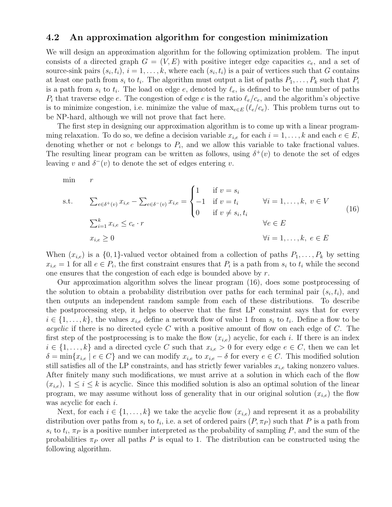### 4.2 An approximation algorithm for congestion minimization

We will design an approximation algorithm for the following optimization problem. The input consists of a directed graph  $G = (V, E)$  with positive integer edge capacities  $c_e$ , and a set of source-sink pairs  $(s_i, t_i)$ ,  $i = 1, \ldots, k$ , where each  $(s_i, t_i)$  is a pair of vertices such that G contains at least one path from  $s_i$  to  $t_i$ . The algorithm must output a list of paths  $P_1, \ldots, P_k$  such that  $P_i$ is a path from  $s_i$  to  $t_i$ . The load on edge  $e$ , denoted by  $\ell_e$ , is defined to be the number of paths  $P_i$  that traverse edge e. The congestion of edge e is the ratio  $\ell_e/c_e$ , and the algorithm's objective is to minimize congestion, i.e. minimize the value of  $\max_{e \in E} (\ell_e/c_e)$ . This problem turns out to be NP-hard, although we will not prove that fact here.

The first step in designing our approximation algorithm is to come up with a linear programming relaxation. To do so, we define a decision variable  $x_{i,e}$  for each  $i = 1, \ldots, k$  and each  $e \in E$ , denoting whether or not  $e$  belongs to  $P_i$ , and we allow this variable to take fractional values. The resulting linear program can be written as follows, using  $\delta^+(v)$  to denote the set of edges leaving v and  $\delta^-(v)$  to denote the set of edges entering v.

$$
\begin{aligned}\n\min \quad r \\
\text{s.t.} \quad & \sum_{e \in \delta^+(v)} x_{i,e} - \sum_{e \in \delta^-(v)} x_{i,e} = \begin{cases}\n1 & \text{if } v = s_i \\
-1 & \text{if } v = t_i \\
0 & \text{if } v \neq s_i, t_i\n\end{cases} \quad \forall i = 1, \dots, k, \ v \in V \\
\forall e \in E \\
& \forall i = 1, \dots, k, \ e \in E\n\end{aligned}\n\tag{16}
$$

When  $(x_{i,e})$  is a  $\{0,1\}$ -valued vector obtained from a collection of paths  $P_1, \ldots, P_k$  by setting  $x_{i,e} = 1$  for all  $e \in P_i$ , the first constraint ensures that  $P_i$  is a path from  $s_i$  to  $t_i$  while the second one ensures that the congestion of each edge is bounded above by r.

Our approximation algorithm solves the linear program (16), does some postprocessing of the solution to obtain a probability distribution over paths for each terminal pair  $(s_i, t_i)$ , and then outputs an independent random sample from each of these distributions. To describe the postprocessing step, it helps to observe that the first LP constraint says that for every  $i \in \{1, \ldots, k\}$ , the values  $x_{i,e}$  define a network flow of value 1 from  $s_i$  to  $t_i$ . Define a flow to be *acyclic* if there is no directed cycle C with a positive amount of flow on each edge of C. The first step of the postprocessing is to make the flow  $(x_{i,e})$  acyclic, for each i. If there is an index  $i \in \{1, \ldots, k\}$  and a directed cycle C such that  $x_{i,e} > 0$  for every edge  $e \in C$ , then we can let  $\delta = \min\{x_{i,e} \mid e \in C\}$  and we can modify  $x_{i,e}$  to  $x_{i,e} - \delta$  for every  $e \in C$ . This modified solution still satisfies all of the LP constraints, and has strictly fewer variables  $x_{i,e}$  taking nonzero values. After finitely many such modifications, we must arrive at a solution in which each of the flow  $(x_{i,e}), 1 \leq i \leq k$  is acyclic. Since this modified solution is also an optimal solution of the linear program, we may assume without loss of generality that in our original solution  $(x_{i,e})$  the flow was acyclic for each i.

Next, for each  $i \in \{1, \ldots, k\}$  we take the acyclic flow  $(x_{i,e})$  and represent it as a probability distribution over paths from  $s_i$  to  $t_i$ , i.e. a set of ordered pairs  $(P, \pi_P)$  such that P is a path from  $s_i$  to  $t_i$ ,  $\pi_P$  is a positive number interpreted as the probability of sampling P, and the sum of the probabilities  $\pi_P$  over all paths P is equal to 1. The distribution can be constructed using the following algorithm.